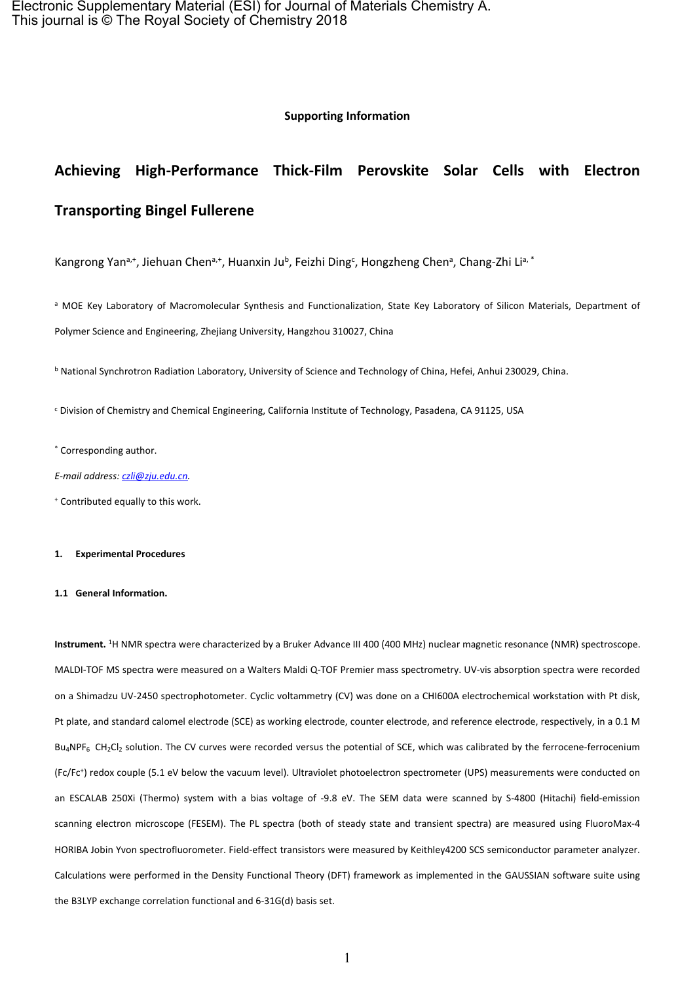#### **Supporting Information**

# **Achieving High-Performance Thick-Film Perovskite Solar Cells with Electron**

## **Transporting Bingel Fullerene**

Kangrong Yan<sup>a,+</sup>, Jiehuan Chen<sup>a,+</sup>, Huanxin Ju<sup>b</sup>, Feizhi Ding<sup>c</sup>, Hongzheng Chen<sup>a</sup>, Chang-Zhi Li<sup>a, \*</sup>

a MOE Key Laboratory of Macromolecular Synthesis and Functionalization, State Key Laboratory of Silicon Materials, Department of Polymer Science and Engineering, Zhejiang University, Hangzhou 310027, China

<sup>b</sup> National Synchrotron Radiation Laboratory, University of Science and Technology of China, Hefei, Anhui 230029, China.

<sup>c</sup> Division of Chemistry and Chemical Engineering, California Institute of Technology, Pasadena, CA 91125, USA

\* Corresponding author.

*E-mail address: [czli@zju.edu.cn.](mailto:czli@zju.edu.cn)*

<sup>+</sup> Contributed equally to this work.

#### **1. Experimental Procedures**

#### **1.1 General Information.**

**Instrument.** <sup>1</sup>H NMR spectra were characterized by a Bruker Advance III 400 (400 MHz) nuclear magnetic resonance (NMR) spectroscope. MALDI-TOF MS spectra were measured on a Walters Maldi Q-TOF Premier mass spectrometry. UV-vis absorption spectra were recorded on a Shimadzu UV-2450 spectrophotometer. Cyclic voltammetry (CV) was done on a CHI600A electrochemical workstation with Pt disk, Pt plate, and standard calomel electrode (SCE) as working electrode, counter electrode, and reference electrode, respectively, in a 0.1 M Bu<sub>4</sub>NPF<sub>6</sub> CH<sub>2</sub>Cl<sub>2</sub> solution. The CV curves were recorded versus the potential of SCE, which was calibrated by the ferrocene-ferrocenium (Fc/Fc<sup>+</sup> ) redox couple (5.1 eV below the vacuum level). Ultraviolet photoelectron spectrometer (UPS) measurements were conducted on an ESCALAB 250Xi (Thermo) system with a bias voltage of -9.8 eV. The SEM data were scanned by S-4800 (Hitachi) field-emission scanning electron microscope (FESEM). The PL spectra (both of steady state and transient spectra) are measured using FluoroMax-4 HORIBA Jobin Yvon spectrofluorometer. Field-effect transistors were measured by Keithley4200 SCS semiconductor parameter analyzer. Calculations were performed in the Density Functional Theory (DFT) framework as implemented in the GAUSSIAN software suite using the B3LYP exchange correlation functional and 6-31G(d) basis set.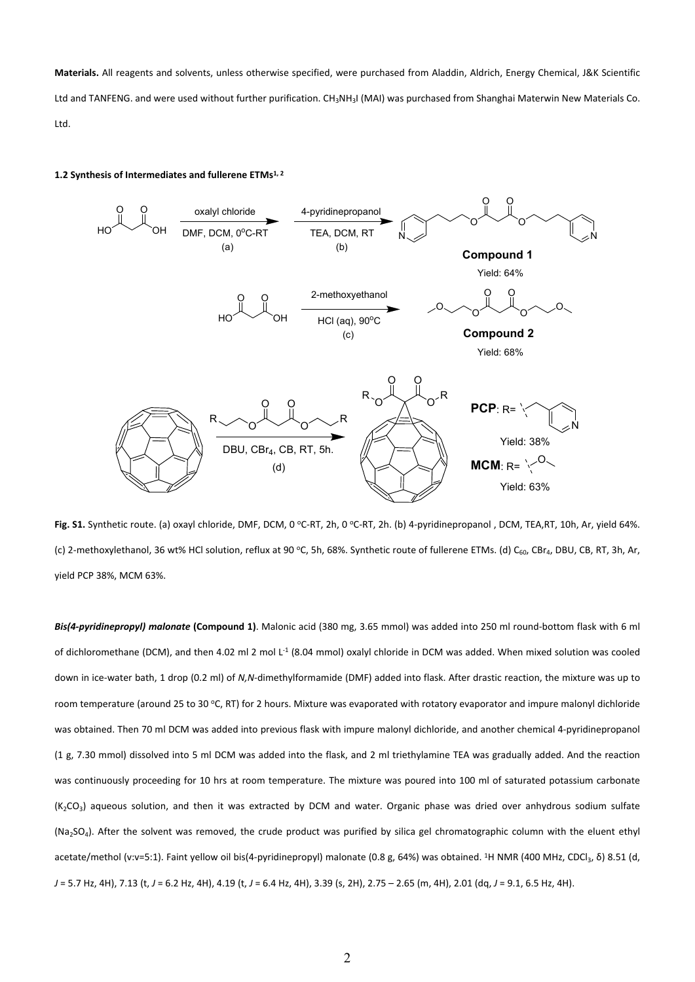**Materials.** All reagents and solvents, unless otherwise specified, were purchased from Aladdin, Aldrich, Energy Chemical, J&K Scientific Ltd and TANFENG. and were used without further purification. CH3NH3I (MAI) was purchased from Shanghai Materwin New Materials Co. Ltd.

#### **1.2 Synthesis of Intermediates and fullerene ETMs[1](#page-9-0), [2](#page-9-1)**



Fig. S1. Synthetic route. (a) oxayl chloride, DMF, DCM, 0 °C-RT, 2h, 0 °C-RT, 2h. (b) 4-pyridinepropanol, DCM, TEA,RT, 10h, Ar, yield 64%. (c) 2-methoxylethanol, 36 wt% HCl solution, reflux at 90 °C, 5h, 68%. Synthetic route of fullerene ETMs. (d) C<sub>60</sub>, CBr<sub>4</sub>, DBU, CB, RT, 3h, Ar, yield PCP 38%, MCM 63%.

*Bis(4-pyridinepropyl) malonate* **(Compound 1)**. Malonic acid (380 mg, 3.65 mmol) was added into 250 ml round-bottom flask with 6 ml of dichloromethane (DCM), and then 4.02 ml 2 mol L<sup>-1</sup> (8.04 mmol) oxalyl chloride in DCM was added. When mixed solution was cooled down in ice-water bath, 1 drop (0.2 ml) of *N,N*-dimethylformamide (DMF) added into flask. After drastic reaction, the mixture was up to room temperature (around 25 to 30 °C, RT) for 2 hours. Mixture was evaporated with rotatory evaporator and impure malonyl dichloride was obtained. Then 70 ml DCM was added into previous flask with impure malonyl dichloride, and another chemical 4-pyridinepropanol (1 g, 7.30 mmol) dissolved into 5 ml DCM was added into the flask, and 2 ml triethylamine TEA was gradually added. And the reaction was continuously proceeding for 10 hrs at room temperature. The mixture was poured into 100 ml of saturated potassium carbonate (K<sub>2</sub>CO<sub>3</sub>) aqueous solution, and then it was extracted by DCM and water. Organic phase was dried over anhydrous sodium sulfate (Na<sub>2</sub>SO<sub>4</sub>). After the solvent was removed, the crude product was purified by silica gel chromatographic column with the eluent ethyl acetate/methol (v:v=5:1). Faint yellow oil bis(4-pyridinepropyl) malonate (0.8 g, 64%) was obtained. <sup>1</sup>H NMR (400 MHz, CDCl<sub>3</sub>, δ) 8.51 (d, *J* = 5.7 Hz, 4H), 7.13 (t, *J* = 6.2 Hz, 4H), 4.19 (t, *J* = 6.4 Hz, 4H), 3.39 (s, 2H), 2.75 – 2.65 (m, 4H), 2.01 (dq, *J* = 9.1, 6.5 Hz, 4H).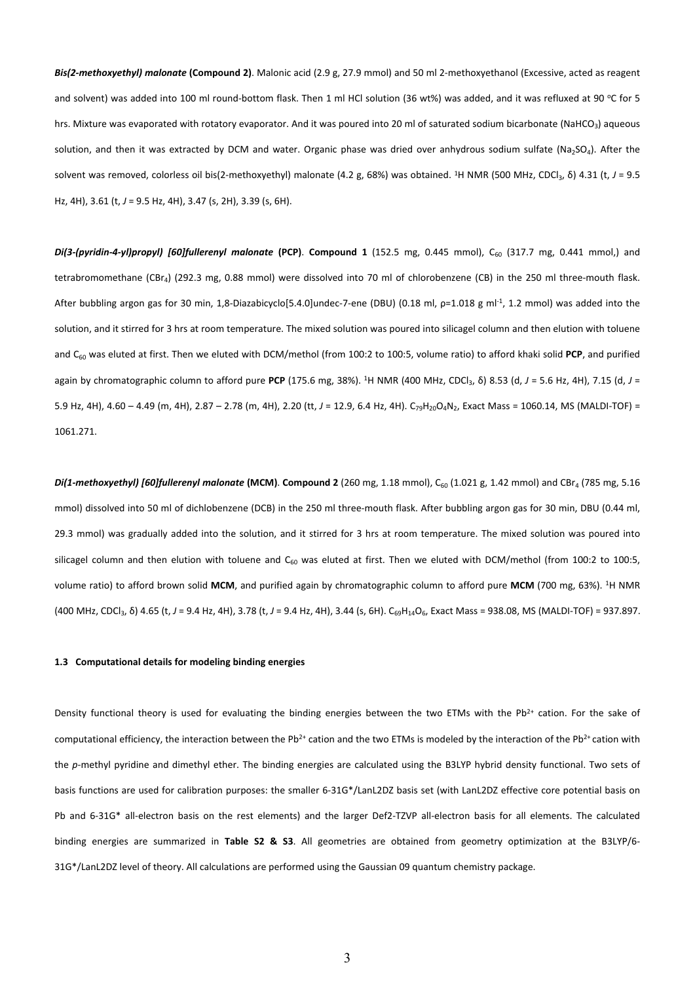*Bis(2-methoxyethyl) malonate* **(Compound 2)**. Malonic acid (2.9 g, 27.9 mmol) and 50 ml 2-methoxyethanol (Excessive, acted as reagent and solvent) was added into 100 ml round-bottom flask. Then 1 ml HCl solution (36 wt%) was added, and it was refluxed at 90 °C for 5 hrs. Mixture was evaporated with rotatory evaporator. And it was poured into 20 ml of saturated sodium bicarbonate (NaHCO<sub>3</sub>) aqueous solution, and then it was extracted by DCM and water. Organic phase was dried over anhydrous sodium sulfate (Na<sub>2</sub>SO<sub>4</sub>). After the solvent was removed, colorless oil bis(2-methoxyethyl) malonate (4.2 g, 68%) was obtained. <sup>1</sup>H NMR (500 MHz, CDCl<sub>3</sub>, δ) 4.31 (t, *J* = 9.5 Hz, 4H), 3.61 (t, *J* = 9.5 Hz, 4H), 3.47 (s, 2H), 3.39 (s, 6H).

*Di(3-(pyridin-4-yl)propyl) [60]fullerenyl malonate* **(PCP)**. **Compound 1** (152.5 mg, 0.445 mmol), C<sup>60</sup> (317.7 mg, 0.441 mmol,) and tetrabromomethane (CBr<sub>4</sub>) (292.3 mg, 0.88 mmol) were dissolved into 70 ml of chlorobenzene (CB) in the 250 ml three-mouth flask. After bubbling argon gas for 30 min, 1,8-Diazabicyclo[5.4.0]undec-7-ene (DBU) (0.18 ml, p=1.018 g ml<sup>-1</sup>, 1.2 mmol) was added into the solution, and it stirred for 3 hrs at room temperature. The mixed solution was poured into silicagel column and then elution with toluene and C<sub>60</sub> was eluted at first. Then we eluted with DCM/methol (from 100:2 to 100:5, volume ratio) to afford khaki solid PCP, and purified again by chromatographic column to afford pure PCP (175.6 mg, 38%). <sup>1</sup>H NMR (400 MHz, CDCl<sub>3</sub>, δ) 8.53 (d, *J* = 5.6 Hz, 4H), 7.15 (d, *J* = 5.9 Hz, 4H), 4.60 - 4.49 (m, 4H), 2.87 - 2.78 (m, 4H), 2.20 (tt, J = 12.9, 6.4 Hz, 4H). C<sub>79</sub>H<sub>20</sub>O<sub>4</sub>N<sub>2</sub>, Exact Mass = 1060.14, MS (MALDI-TOF) = 1061.271.

**Di(1-methoxyethyl) [60]fullerenyl malonate (MCM). Compound 2 (260 mg, 1.18 mmol), C<sub>60</sub> (1.021 g, 1.42 mmol) and CBr<sub>4</sub> (785 mg, 5.16** mmol) dissolved into 50 ml of dichlobenzene (DCB) in the 250 ml three-mouth flask. After bubbling argon gas for 30 min, DBU (0.44 ml, 29.3 mmol) was gradually added into the solution, and it stirred for 3 hrs at room temperature. The mixed solution was poured into silicagel column and then elution with toluene and C<sub>60</sub> was eluted at first. Then we eluted with DCM/methol (from 100:2 to 100:5, volume ratio) to afford brown solid **MCM**, and purified again by chromatographic column to afford pure **MCM** (700 mg, 63%). <sup>1</sup>H NMR (400 MHz, CDCl<sub>3</sub>, δ) 4.65 (t, *J* = 9.4 Hz, 4H), 3.78 (t, *J* = 9.4 Hz, 4H), 3.44 (s, 6H). C<sub>69</sub>H<sub>14</sub>O<sub>6</sub>, Exact Mass = 938.08, MS (MALDI-TOF) = 937.897.

#### **1.3 Computational details for modeling binding energies**

Density functional theory is used for evaluating the binding energies between the two ETMs with the Pb<sup>2+</sup> cation. For the sake of computational efficiency, the interaction between the Pb<sup>2+</sup> cation and the two ETMs is modeled by the interaction of the Pb<sup>2+</sup> cation with the *p*-methyl pyridine and dimethyl ether. The binding energies are calculated using the B3LYP hybrid density functional. Two sets of basis functions are used for calibration purposes: the smaller 6-31G\*/LanL2DZ basis set (with LanL2DZ effective core potential basis on Pb and 6-31G\* all-electron basis on the rest elements) and the larger Def2-TZVP all-electron basis for all elements. The calculated binding energies are summarized in **Table S2 & S3**. All geometries are obtained from geometry optimization at the B3LYP/6- 31G\*/LanL2DZ level of theory. All calculations are performed using the Gaussian 09 quantum chemistry package.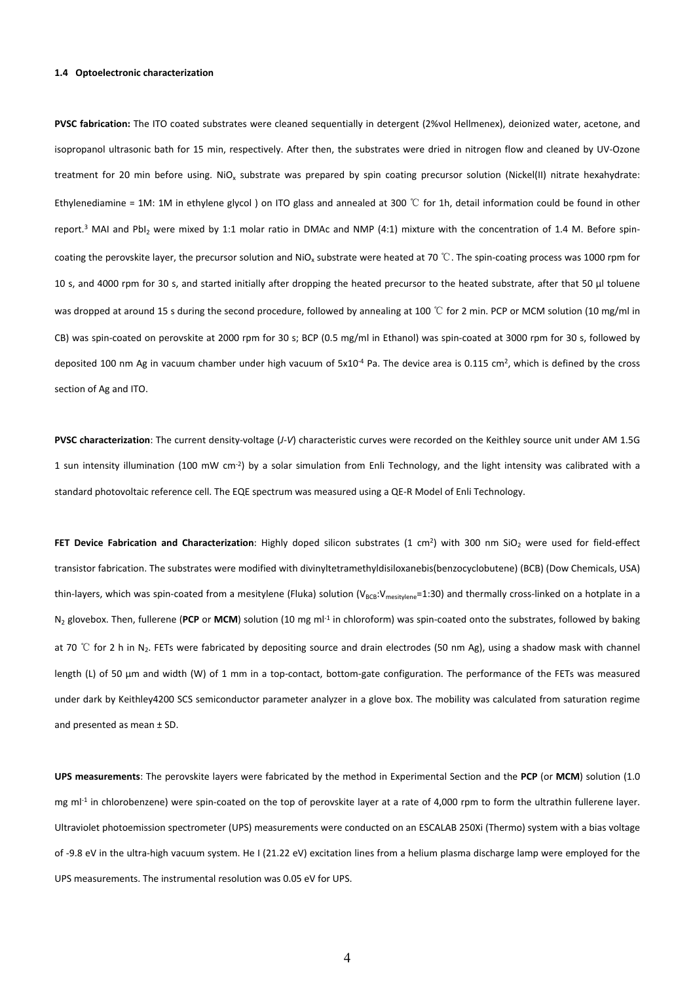#### **1.4 Optoelectronic characterization**

**PVSC fabrication:** The ITO coated substrates were cleaned sequentially in detergent (2%vol Hellmenex), deionized water, acetone, and isopropanol ultrasonic bath for 15 min, respectively. After then, the substrates were dried in nitrogen flow and cleaned by UV-Ozone treatment for 20 min before using. NiO<sub>x</sub> substrate was prepared by spin coating precursor solution (Nickel(II) nitrate hexahydrate: Ethylenediamine = 1M: 1M in ethylene glycol ) on ITO glass and annealed at 300 ℃ for 1h, detail information could be found in other report.<sup>[3](#page-9-2)</sup> MAI and PbI<sub>2</sub> were mixed by 1:1 molar ratio in DMAc and NMP (4:1) mixture with the concentration of 1.4 M. Before spincoating the perovskite layer, the precursor solution and NiO<sub>x</sub> substrate were heated at 70 °C. The spin-coating process was 1000 rpm for 10 s, and 4000 rpm for 30 s, and started initially after dropping the heated precursor to the heated substrate, after that 50 μl toluene was dropped at around 15 s during the second procedure, followed by annealing at 100 ℃ for 2 min. PCP or MCM solution (10 mg/ml in CB) was spin-coated on perovskite at 2000 rpm for 30 s; BCP (0.5 mg/ml in Ethanol) was spin-coated at 3000 rpm for 30 s, followed by deposited 100 nm Ag in vacuum chamber under high vacuum of 5x10<sup>-4</sup> Pa. The device area is 0.115 cm<sup>2</sup>, which is defined by the cross section of Ag and ITO.

**PVSC characterization**: The current density-voltage (*J-V*) characteristic curves were recorded on the Keithley source unit under AM 1.5G 1 sun intensity illumination (100 mW cm<sup>-2</sup>) by a solar simulation from Enli Technology, and the light intensity was calibrated with a standard photovoltaic reference cell. The EQE spectrum was measured using a QE-R Model of Enli Technology.

**FET Device Fabrication and Characterization**: Highly doped silicon substrates (1 cm<sup>2</sup>) with 300 nm SiO<sub>2</sub> were used for field-effect transistor fabrication. The substrates were modified with divinyltetramethyldisiloxanebis(benzocyclobutene) (BCB) (Dow Chemicals, USA) thin-layers, which was spin-coated from a mesitylene (Fluka) solution (V<sub>BCB</sub>:V<sub>mesitylene</sub>=1:30) and thermally cross-linked on a hotplate in a N<sub>2</sub> glovebox. Then, fullerene (PCP or MCM) solution (10 mg ml<sup>-1</sup> in chloroform) was spin-coated onto the substrates, followed by baking at 70 ℃ for 2 h in N<sub>2</sub>. FETs were fabricated by depositing source and drain electrodes (50 nm Ag), using a shadow mask with channel length (L) of 50 μm and width (W) of 1 mm in a top-contact, bottom-gate configuration. The performance of the FETs was measured under dark by Keithley4200 SCS semiconductor parameter analyzer in a glove box. The mobility was calculated from saturation regime and presented as mean ± SD.

**UPS measurements**: The perovskite layers were fabricated by the method in Experimental Section and the **PCP** (or **MCM**) solution (1.0 mg m $l<sup>-1</sup>$  in chlorobenzene) were spin-coated on the top of perovskite layer at a rate of 4,000 rpm to form the ultrathin fullerene layer. Ultraviolet photoemission spectrometer (UPS) measurements were conducted on an ESCALAB 250Xi (Thermo) system with a bias voltage of -9.8 eV in the ultra-high vacuum system. He I (21.22 eV) excitation lines from a helium plasma discharge lamp were employed for the UPS measurements. The instrumental resolution was 0.05 eV for UPS.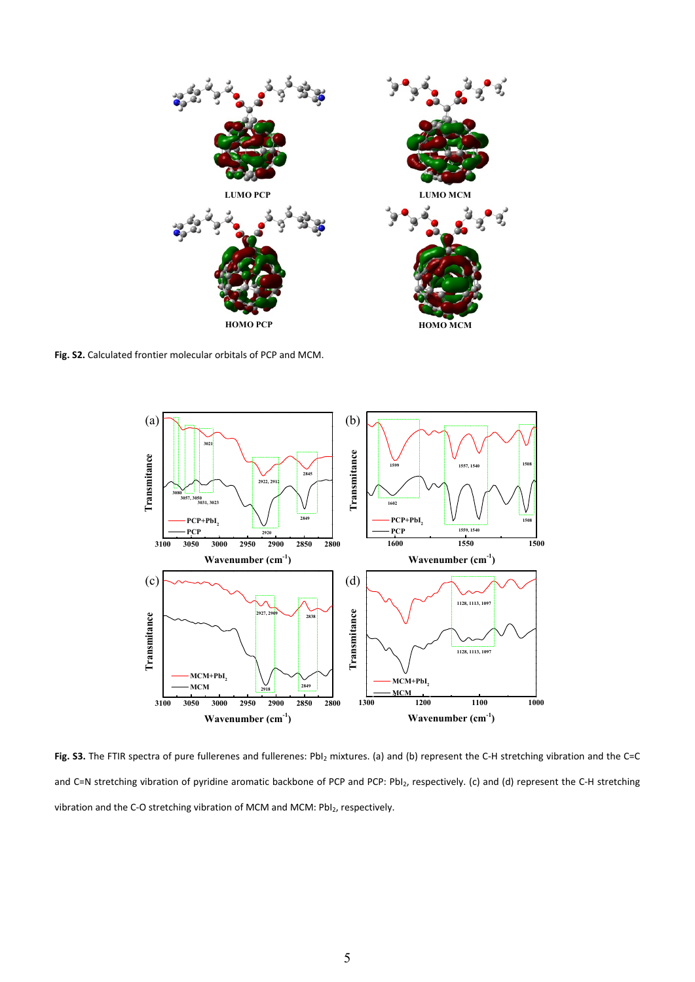

**Fig. S2.** Calculated frontier molecular orbitals of PCP and MCM.



Fig. S3. The FTIR spectra of pure fullerenes and fullerenes: PbI<sub>2</sub> mixtures. (a) and (b) represent the C-H stretching vibration and the C=C and C=N stretching vibration of pyridine aromatic backbone of PCP and PCP: PbI<sub>2</sub>, respectively. (c) and (d) represent the C-H stretching vibration and the C-O stretching vibration of MCM and MCM: PbI<sub>2</sub>, respectively.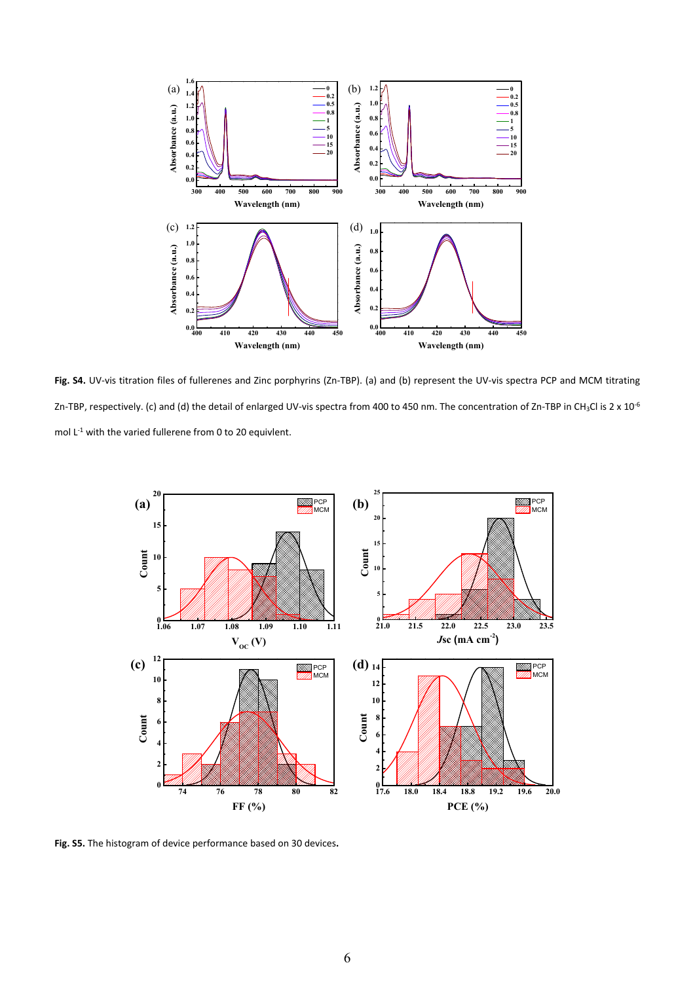

**Fig. S4.** UV-vis titration files of fullerenes and Zinc porphyrins (Zn-TBP). (a) and (b) represent the UV-vis spectra PCP and MCM titrating Zn-TBP, respectively. (c) and (d) the detail of enlarged UV-vis spectra from 400 to 450 nm. The concentration of Zn-TBP in CH<sub>3</sub>Cl is 2 x 10<sup>-6</sup> mol L<sup>-1</sup> with the varied fullerene from 0 to 20 equivlent.



**Fig. S5.** The histogram of device performance based on 30 devices**.**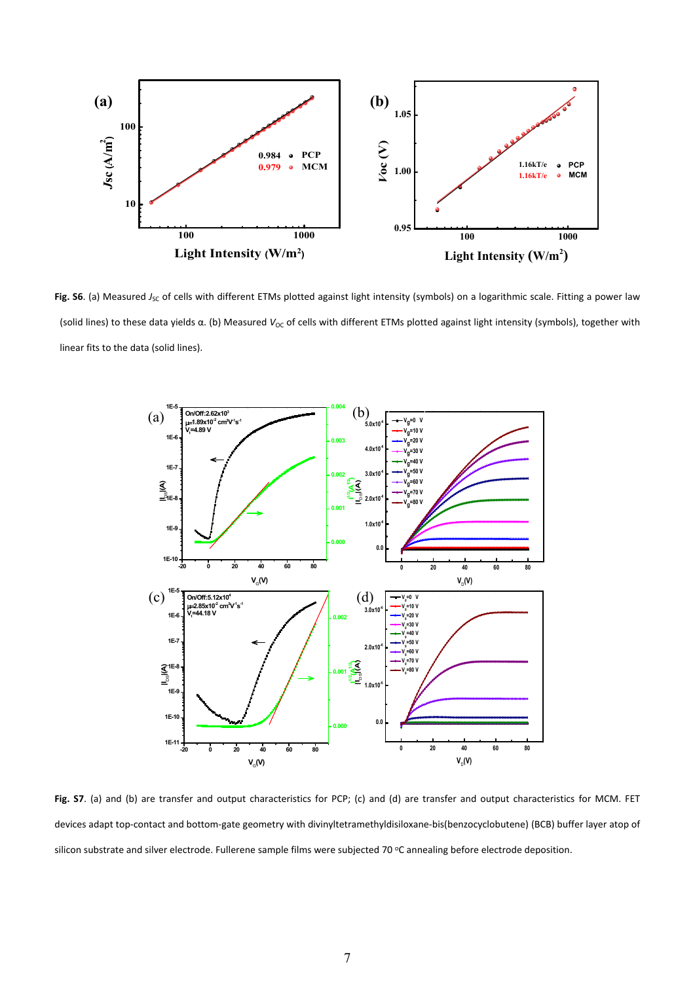

Fig. S6. (a) Measured *J<sub>SC</sub>* of cells with different ETMs plotted against light intensity (symbols) on a logarithmic scale. Fitting a power law (solid lines) to these data yields α. (b) Measured V<sub>oc</sub> of cells with different ETMs plotted against light intensity (symbols), together with linear fits to the data (solid lines).



**Fig. S7**. (a) and (b) are transfer and output characteristics for PCP; (c) and (d) are transfer and output characteristics for MCM. FET devices adapt top-contact and bottom-gate geometry with divinyltetramethyldisiloxane-bis(benzocyclobutene) (BCB) buffer layer atop of silicon substrate and silver electrode. Fullerene sample films were subjected 70 °C annealing before electrode deposition.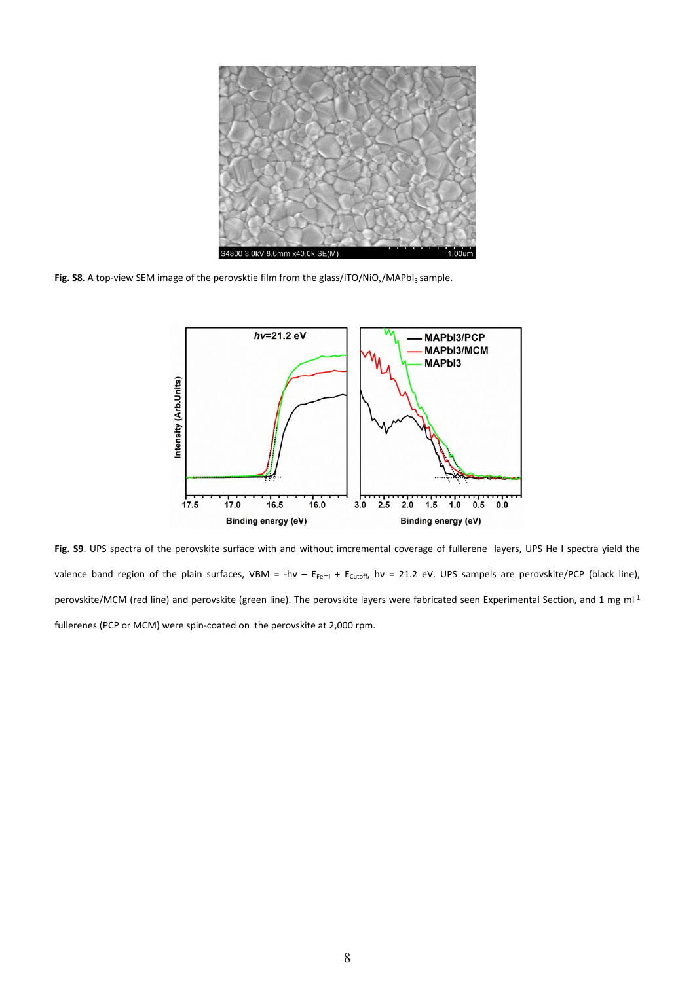

Fig. S8. A top-view SEM image of the perovsktie film from the glass/ITO/NiO<sub>x</sub>/MAPbI<sub>3</sub> sample.



Fig. S9. UPS spectra of the perovskite surface with and without imcremental coverage of fullerene layers, UPS He I spectra yield the valence band region of the plain surfaces, VBM = -hv -  $E_{Femi} + E_{Cutoff}$ , hv = 21.2 eV. UPS sampels are perovskite/PCP (black line), perovskite/MCM (red line) and perovskite (green line). The perovskite layers were fabricated seen Experimental Section, and 1 mg ml<sup>-1</sup> fullerenes (PCP or MCM) were spin-coated on the perovskite at 2,000 rpm.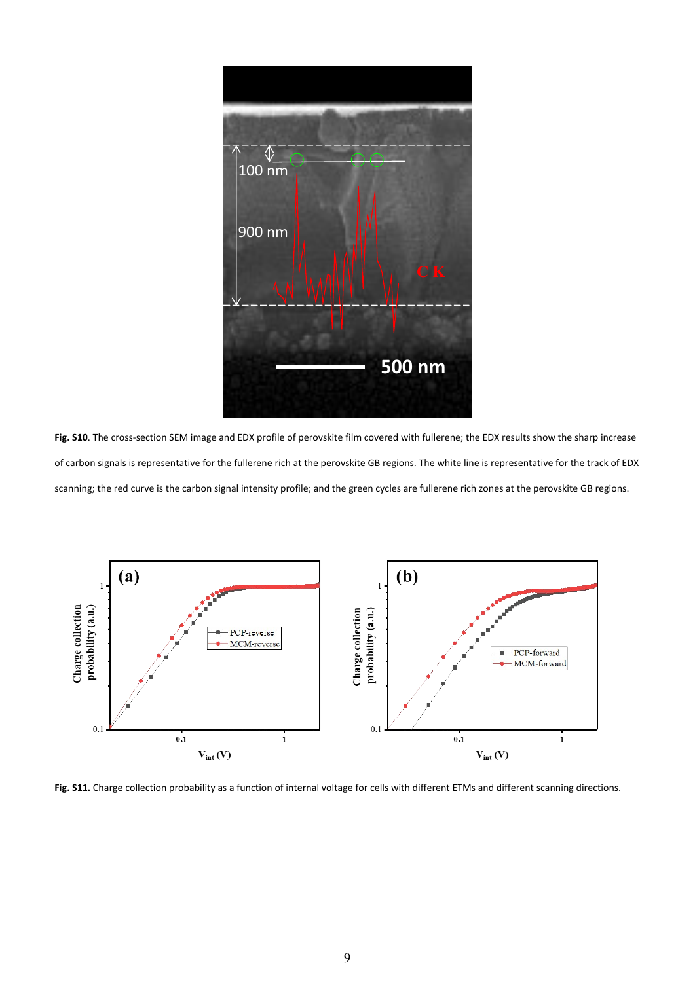

**Fig. S10**. The cross-section SEM image and EDX profile of perovskite film covered with fullerene; the EDX results show the sharp increase of carbon signals is representative for the fullerene rich at the perovskite GB regions. The white line is representative for the track of EDX scanning; the red curve is the carbon signal intensity profile; and the green cycles are fullerene rich zones at the perovskite GB regions.



Fig. S11. Charge collection probability as a function of internal voltage for cells with different ETMs and different scanning directions.